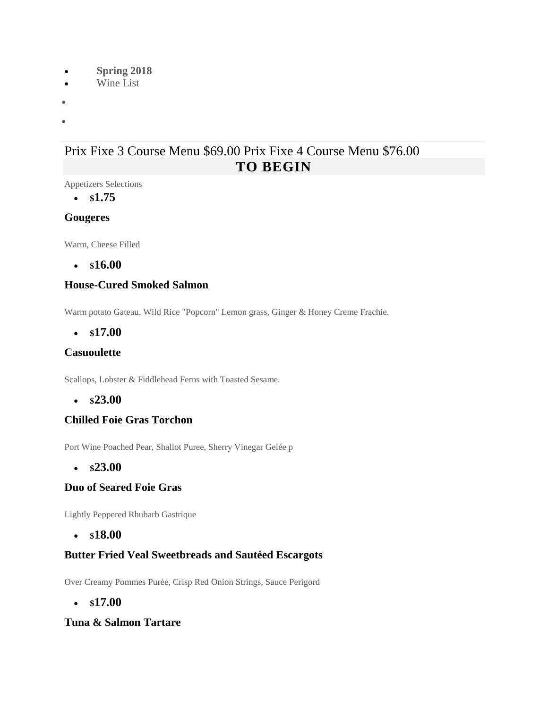- **Spring 2018**
- Wine List
- •
- •

# Prix Fixe 3 Course Menu \$69.00 Prix Fixe 4 Course Menu \$76.00 **TO BEGIN**

Appetizers Selections

• **\$1.75**

## **Gougeres**

Warm, Cheese Filled

• **\$16.00**

## **House-Cured Smoked Salmon**

Warm potato Gateau, Wild Rice "Popcorn" Lemon grass, Ginger & Honey Creme Frachie.

• **\$17.00**

## **Casuoulette**

Scallops, Lobster & Fiddlehead Ferns with Toasted Sesame.

• **\$23.00**

## **Chilled Foie Gras Torchon**

Port Wine Poached Pear, Shallot Puree, Sherry Vinegar Gelée p

• **\$23.00**

### **Duo of Seared Foie Gras**

Lightly Peppered Rhubarb Gastrique

• **\$18.00**

## **Butter Fried Veal Sweetbreads and Sautéed Escargots**

Over Creamy Pommes Purée, Crisp Red Onion Strings, Sauce Perigord

• **\$17.00**

### **Tuna & Salmon Tartare**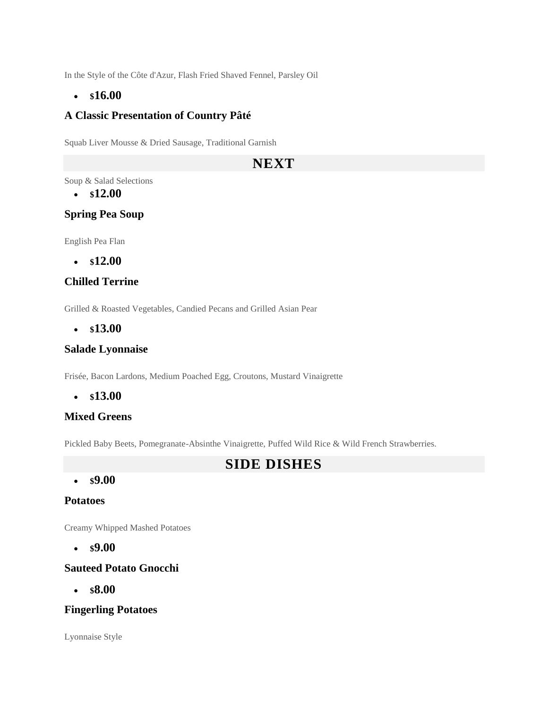In the Style of the Côte d'Azur, Flash Fried Shaved Fennel, Parsley Oil

### • **\$16.00**

### **A Classic Presentation of Country Pâté**

Squab Liver Mousse & Dried Sausage, Traditional Garnish

## **NEXT**

Soup & Salad Selections

• **\$12.00**

### **Spring Pea Soup**

English Pea Flan

• **\$12.00**

### **Chilled Terrine**

Grilled & Roasted Vegetables, Candied Pecans and Grilled Asian Pear

• **\$13.00**

### **Salade Lyonnaise**

Frisée, Bacon Lardons, Medium Poached Egg, Croutons, Mustard Vinaigrette

• **\$13.00**

### **Mixed Greens**

Pickled Baby Beets, Pomegranate-Absinthe Vinaigrette, Puffed Wild Rice & Wild French Strawberries.

## **SIDE DISHES**

#### • **\$9.00**

### **Potatoes**

Creamy Whipped Mashed Potatoes

• **\$9.00**

### **Sauteed Potato Gnocchi**

• **\$8.00**

### **Fingerling Potatoes**

Lyonnaise Style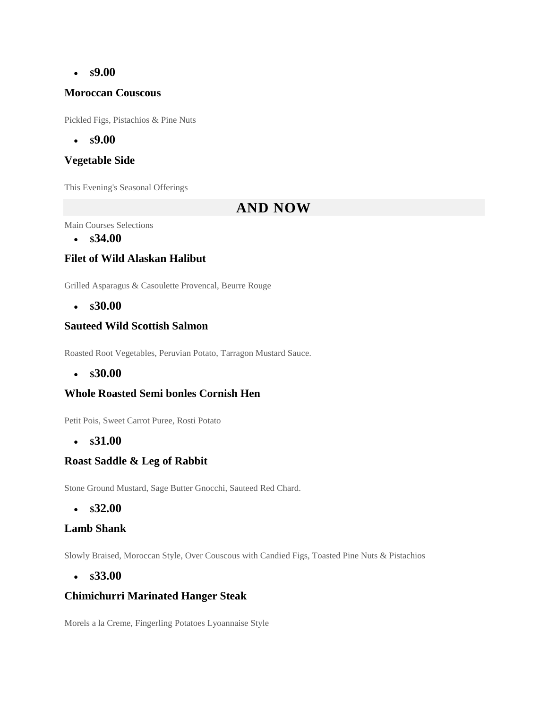### • **\$9.00**

### **Moroccan Couscous**

Pickled Figs, Pistachios & Pine Nuts

• **\$9.00**

### **Vegetable Side**

This Evening's Seasonal Offerings

## **AND NOW**

Main Courses Selections

• **\$34.00**

## **Filet of Wild Alaskan Halibut**

Grilled Asparagus & Casoulette Provencal, Beurre Rouge

• **\$30.00**

### **Sauteed Wild Scottish Salmon**

Roasted Root Vegetables, Peruvian Potato, Tarragon Mustard Sauce.

• **\$30.00**

### **Whole Roasted Semi bonles Cornish Hen**

Petit Pois, Sweet Carrot Puree, Rosti Potato

• **\$31.00**

### **Roast Saddle & Leg of Rabbit**

Stone Ground Mustard, Sage Butter Gnocchi, Sauteed Red Chard.

• **\$32.00**

### **Lamb Shank**

Slowly Braised, Moroccan Style, Over Couscous with Candied Figs, Toasted Pine Nuts & Pistachios

• **\$33.00**

### **Chimichurri Marinated Hanger Steak**

Morels a la Creme, Fingerling Potatoes Lyoannaise Style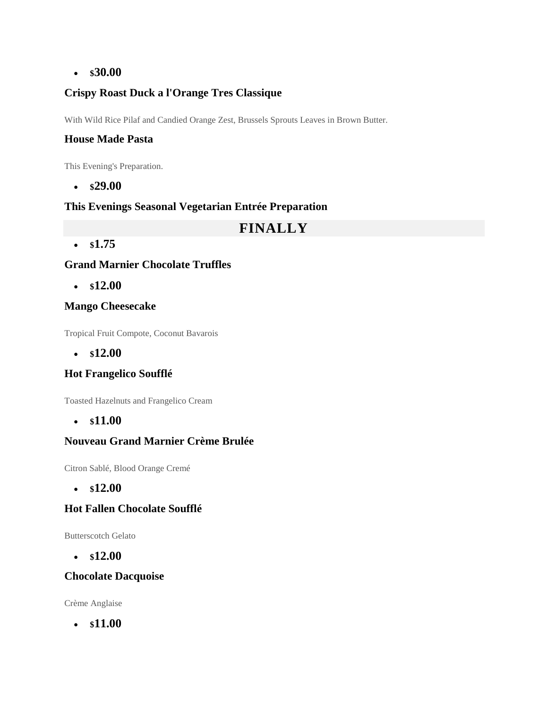### • **\$30.00**

## **Crispy Roast Duck a l'Orange Tres Classique**

With Wild Rice Pilaf and Candied Orange Zest, Brussels Sprouts Leaves in Brown Butter.

### **House Made Pasta**

This Evening's Preparation.

• **\$29.00**

### **This Evenings Seasonal Vegetarian Entrée Preparation**

# **FINALLY**

• **\$1.75**

## **Grand Marnier Chocolate Truffles**

• **\$12.00**

## **Mango Cheesecake**

Tropical Fruit Compote, Coconut Bavarois

• **\$12.00**

## **Hot Frangelico Soufflé**

Toasted Hazelnuts and Frangelico Cream

• **\$11.00**

### **Nouveau Grand Marnier Crème Brulée**

Citron Sablé, Blood Orange Cremé

• **\$12.00**

## **Hot Fallen Chocolate Soufflé**

Butterscotch Gelato

• **\$12.00**

### **Chocolate Dacquoise**

Crème Anglaise

• **\$11.00**